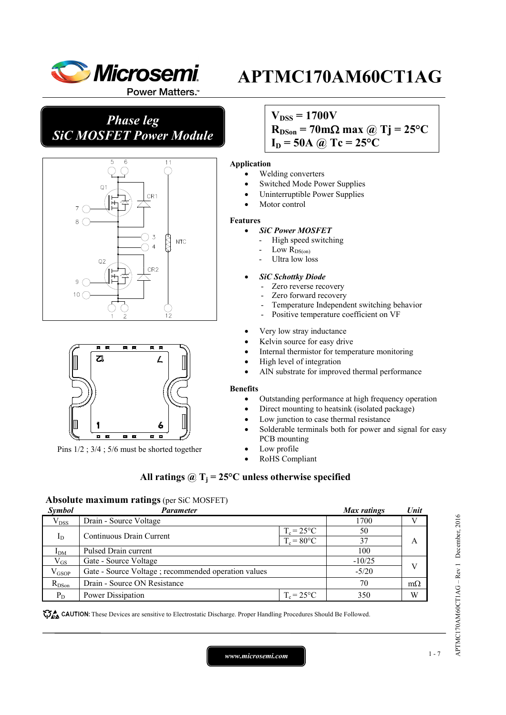

Power Matters.<sup>™</sup>

*Phase leg SiC MOSFET Power Module*





Pins 1/2 ; 3/4 ; 5/6 must be shorted together

## $V_{DSS} = 1700V$

 $R_{DSon} = 70 \text{ mA}$  max @ Tj = 25<sup>o</sup>C

**APTMC170AM60CT1AG**

 $I_D = 50A$  *(a)*  $Tc = 25^{\circ}C$ 

#### **Application**

- Welding converters
- Switched Mode Power Supplies
- Uninterruptible Power Supplies
- Motor control

#### **Features**

- *SiC Power MOSFET*
	- High speed switching
	- Low  $R_{DS(0n)}$
	- Ultra low loss

#### • *SiC Schottky Diode*

- Zero reverse recovery
- Zero forward recovery
- Temperature Independent switching behavior
- Positive temperature coefficient on VF
- Very low stray inductance
- Kelvin source for easy drive
- Internal thermistor for temperature monitoring
- High level of integration
- AlN substrate for improved thermal performance

#### **Benefits**

- Outstanding performance at high frequency operation
- Direct mounting to heatsink (isolated package)
- Low junction to case thermal resistance
- Solderable terminals both for power and signal for easy PCB mounting
- Low profile
- RoHS Compliant

### All ratings  $\hat{\omega}$  T<sub>i</sub> = 25°C unless otherwise specified

#### **Absolute maximum ratings** (per SiC MOSFET)

| Symbol         | Parameter                                            |                      | <b>Max</b> ratings | Unit      |
|----------------|------------------------------------------------------|----------------------|--------------------|-----------|
| $V_{DSS}$      | Drain - Source Voltage                               |                      | 1700               |           |
|                | Continuous Drain Current                             | $T_c = 25^{\circ}C$  | 50                 |           |
|                | $I_D$                                                | $T_c = 80^{\circ}$ C | 37                 | A         |
| $I_{DM}$       | Pulsed Drain current                                 |                      | 100                |           |
| $V_{GS}$       | Gate - Source Voltage                                |                      | $-10/25$           |           |
| $\rm V_{GSOP}$ | Gate - Source Voltage ; recommended operation values |                      | $-5/20$            |           |
| $R_{DSon}$     | Drain - Source ON Resistance                         |                      | 70                 | $m\Omega$ |
| $P_D$          | Power Dissipation                                    | $T_c = 25$ °C        | 350                | W         |

CAUTION: These Devices are sensitive to Electrostatic Discharge. Proper Handling Procedures Should Be Followed.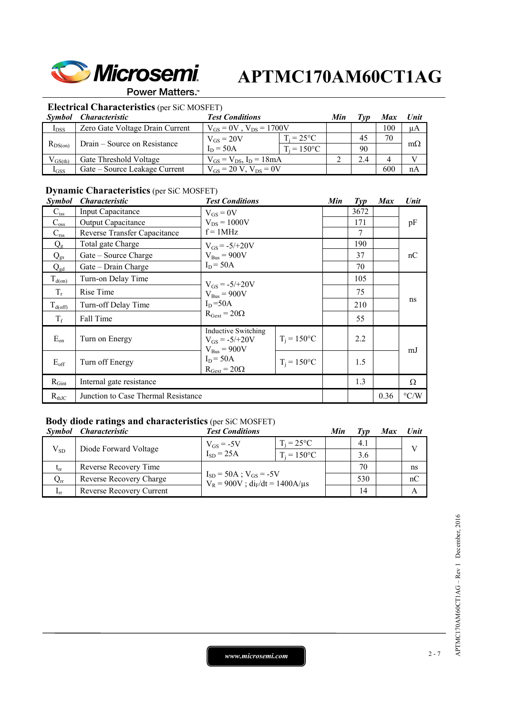

#### Power Matters.<sup>™</sup>

## **Electrical Characteristics** (per SiC MOSFET)

| Symbol       | <i>Characteristic</i>           | <b>Test Conditions</b>           |                     |  |     | Max | Unit      |
|--------------|---------------------------------|----------------------------------|---------------------|--|-----|-----|-----------|
| $I_{DSS}$    | Zero Gate Voltage Drain Current | $V_{GS} = 0V$ , $V_{DS} = 1700V$ |                     |  |     | 100 | μA        |
| $R_{DS(on)}$ | Drain – Source on Resistance    | $V_{GS} = 20V$                   | $T_i = 25^{\circ}C$ |  | 45  | 70  |           |
|              |                                 | $I_D = 50A$                      | $T_i = 150$ °C      |  | 90  |     | $m\Omega$ |
| $V_{GS(th)}$ | Gate Threshold Voltage          | $V_{GS} = V_{DS}$ , $I_D = 18mA$ |                     |  | 2.4 |     |           |
| $I_{GSS}$    | Gate – Source Leakage Current   | $V_{GS} = 20 V$ , $V_{DS} = 0V$  |                     |  |     | 600 | nA        |

## **Dynamic Characteristics** (per SiC MOSFET)

| <i>Symbol</i> | <i><b>Characteristic</b></i>        | <b>Test Conditions</b>                                                                |                | Min | $\mathcal{I}yp$ | <b>Max</b> | Unit               |
|---------------|-------------------------------------|---------------------------------------------------------------------------------------|----------------|-----|-----------------|------------|--------------------|
| $C_{iss}$     | Input Capacitance                   | $V_{GS} = 0V$                                                                         |                |     | 3672            |            |                    |
| $C_{\rm oss}$ | <b>Output Capacitance</b>           | $V_{DS} = 1000V$                                                                      |                |     | 171             |            | pF                 |
| $C_{\rm rss}$ | Reverse Transfer Capacitance        | $f = 1MHz$                                                                            |                |     | $\overline{7}$  |            |                    |
| $Q_{\rm g}$   | Total gate Charge                   | $V_{GS} = -5/+20V$                                                                    |                |     | 190             |            |                    |
| $Q_{gs}$      | Gate – Source Charge                | $V_{Bus} = 900V$                                                                      |                |     | 37              |            | nC                 |
| $Q_{gd}$      | Gate – Drain Charge                 | $I_D = 50A$                                                                           |                |     | 70              |            |                    |
| $T_{d(on)}$   | Turn-on Delay Time                  |                                                                                       |                |     | 105             |            |                    |
| $T_r$         | Rise Time                           | $V_{GS} = -5/+20V$<br>$V_{Bus} = 900V$<br>$I_D = 50A$<br>$R_{\text{Gext}} = 20\Omega$ |                |     | 75              |            | ns                 |
| $T_{d(off)}$  | Turn-off Delay Time                 |                                                                                       |                |     | 210             |            |                    |
| $T_f$         | Fall Time                           |                                                                                       |                |     | 55              |            |                    |
| $E_{on}$      | Turn on Energy                      | <b>Inductive Switching</b><br>$V_{GS} = -5/+20V$<br>$V_{Bus} = 900V$                  | $T_i = 150$ °C |     | 2.2             |            | mJ                 |
| $E_{\rm off}$ | Turn off Energy                     | $I_D = 50A$<br>$R_{\text{Gext}} = 20\Omega$                                           | $T_i = 150$ °C |     | 1.5             |            |                    |
| $R_{Gint}$    | Internal gate resistance            |                                                                                       |                |     | 1.3             |            | Ω                  |
| $R_{thJC}$    | Junction to Case Thermal Resistance |                                                                                       |                |     |                 | 0.36       | $\rm ^{\circ} C/W$ |

## **Body diode ratings and characteristics** (per SiC MOSFET)

|                 | Symbol Characteristic    | <b>Test Conditions</b>                                                    |                     | Min | ľvv | <b>Max</b> | Unit         |
|-----------------|--------------------------|---------------------------------------------------------------------------|---------------------|-----|-----|------------|--------------|
| $V_{SD}$        | Diode Forward Voltage    | $V_{GS}$ = -5V                                                            | $T_i = 25^{\circ}C$ |     | 4.1 |            | $\mathbf{V}$ |
|                 |                          | $I_{SD}$ = 25A                                                            | $T_i = 150$ °C      |     | 3.6 |            |              |
| $t_{rr}$        | Reverse Recovery Time    | $I_{SD} = 50A$ ; $V_{GS} = -5V$<br>$V_R = 900V$ ; $di_F/dt = 1400A/\mu s$ |                     |     | 70  |            | ns           |
| $\rm Q_{rr}$    | Reverse Recovery Charge  |                                                                           |                     |     | 530 |            | nC           |
| 1 <sub>rr</sub> | Reverse Recovery Current |                                                                           |                     |     | 14  |            |              |

*www.microsemi.com* 2-7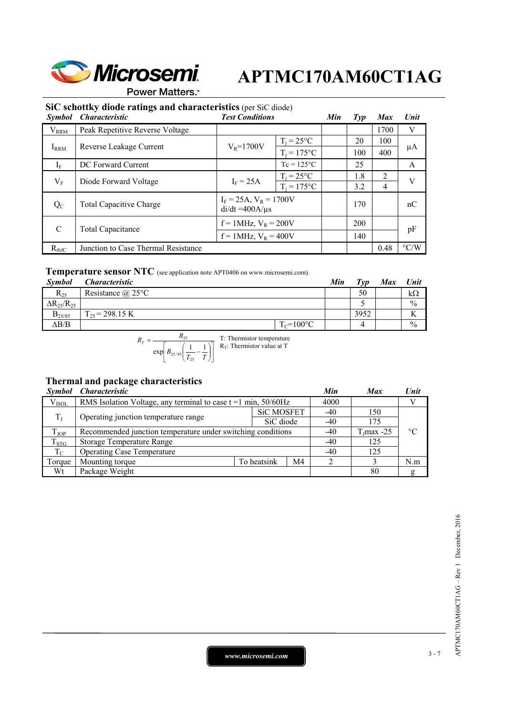

**Power Matters.**"

### **SiC schottky diode ratings and characteristics** (per SiC diode)

| <b>Symbol</b> | <b>Characteristic</b>               | <b>Test Conditions</b>                                 |                     | Min | $Typ$ | <b>Max</b>     | Unit               |     |
|---------------|-------------------------------------|--------------------------------------------------------|---------------------|-----|-------|----------------|--------------------|-----|
| $V_{RRM}$     | Peak Repetitive Reverse Voltage     |                                                        |                     |     |       | 1700           | V                  |     |
|               |                                     | $T_i = 25^{\circ}C$<br>$V_R = 1700V$<br>$T_i = 175$ °C |                     |     | 20    | 100            |                    |     |
| $I_{RRM}$     | Reverse Leakage Current             |                                                        |                     |     |       |                | 100                | 400 |
| $I_F$         | DC Forward Current                  |                                                        | $Tc = 125^{\circ}C$ |     | 25    |                | A                  |     |
| $V_{\rm F}$   |                                     | $T_i = 25$ °C<br>$I_F = 25A$<br>Diode Forward Voltage  |                     |     | 1.8   | 2              | V                  |     |
|               |                                     |                                                        | $T_i = 175$ °C      |     | 3.2   | $\overline{4}$ |                    |     |
| $Q_{C}$       | <b>Total Capacitive Charge</b>      | $I_F = 25A$ , $V_R = 1700V$<br>$di/dt = 400A/\mu s$    |                     |     | 170   |                | nC                 |     |
| C             | Total Capacitance                   | $f = 1$ MHz, $V_R = 200V$                              |                     |     | 200   |                | pF                 |     |
|               |                                     | $f = 1$ MHz, $V_R = 400V$                              |                     |     | 140   |                |                    |     |
| $R_{thJC}$    | Junction to Case Thermal Resistance |                                                        |                     |     |       | 0.48           | $\rm ^{\circ} C/W$ |     |

### **Temperature sensor NTC** (see application note APT0406 on www.microsemi.com).

| <b>Symbol</b>          | <i>Characteristic</i>    |                | Min | $T_{VD}$ | <b>Max</b> | <b>Unit</b>   |
|------------------------|--------------------------|----------------|-----|----------|------------|---------------|
| $R_{25}$               | Resistance $\omega$ 25°C |                |     | 50       |            | kΩ            |
| $\Delta R_{25}/R_{25}$ |                          |                |     |          |            | $\frac{0}{0}$ |
| $B_{25/85}$            | $T_{25}$ = 298.15 K      |                |     | 3952     |            |               |
| $\Delta B/B$           |                          | $T_c = 100$ °C |     |          |            | $\frac{0}{0}$ |

$$
R_T = \frac{R_{25}}{\exp\left[B_{25/85}\left(\frac{1}{T_{25}} - \frac{1}{T}\right)\right]}
$$
 T: Thermistor temperature

### **Thermal and package characteristics**

|             | Symbol Characteristic                                               |             |                   | Min   | <b>Max</b>   | Unit            |
|-------------|---------------------------------------------------------------------|-------------|-------------------|-------|--------------|-----------------|
| $V_{ISOL}$  | RMS Isolation Voltage, any terminal to case $t = 1$ min, $50/60$ Hz |             |                   | 4000  |              |                 |
|             | Operating junction temperature range                                |             | <b>SiC MOSFET</b> |       | 150          |                 |
| $T_{\rm L}$ |                                                                     |             | SiC diode         | $-40$ | 175          |                 |
| $T_{JOP}$   | Recommended junction temperature under switching conditions         |             |                   |       | $TI$ max -25 | $\rm ^{\circ}C$ |
| $T_{STG}$   | <b>Storage Temperature Range</b>                                    |             |                   |       | 125          |                 |
| $T_{\rm C}$ | <b>Operating Case Temperature</b>                                   |             |                   |       |              |                 |
| Torque      | Mounting torque                                                     | To heatsink | M4                |       |              | N.m             |
| Wt          | Package Weight                                                      |             |                   |       | 80           | g               |

*www.microsemi.com* 3-7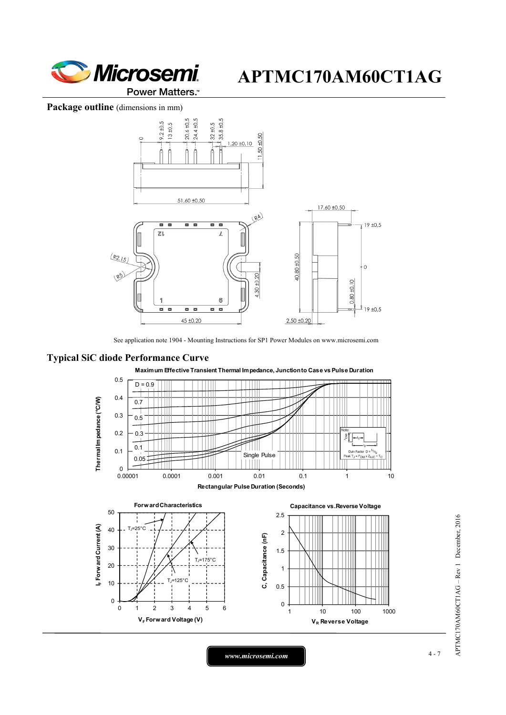

Package outline (dimensions in mm)



See application note 1904 - Mounting Instructions for SP1 Power Modules on www.microsemi.com

### **Typical SiC diode Performance Curve**



**Maximum Effective Transient Thermal Impedance, Junction to Case vs Pulse Duration**

*www.microsemi.com* 4-7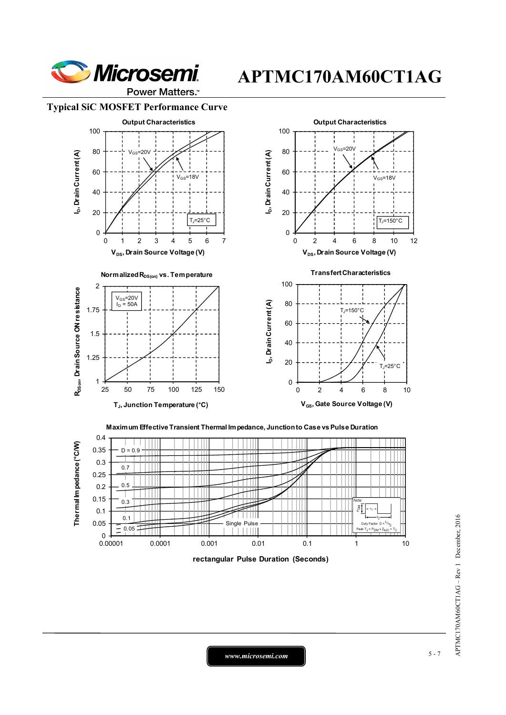

Power Matters.<sup>™</sup>

#### **Typical SiC MOSFET Performance Curve**



0.4 Thermallm pedance (°C/W) **Thermal Impedance (°C/W)** 0.35  $D = 0.9$ 0.3 0.7 0.25 0.5 0.2 0.15 0.3 δĪ  $-t_1$ 0.1  $0.1$ 0.05  $\frac{0.05}{0.05}$  Single Pulse Duty Factor  $D = {t_1}_{t_2}$ <br>Peak T<sub>J</sub> = P<sub>DM</sub> x Z<sub>θJC</sub>  $-$ <br>0.00001 0.00001 0.0001 0.001 0.01 0.1 1 10 **rectangular Pulse Duration (Seconds)**

APTMC170AM60CT1AG - Rev 1 December, 2016 APTMC170AM60CT1AG – Rev 1 December, 2016

*www.microsemi.com* 5-7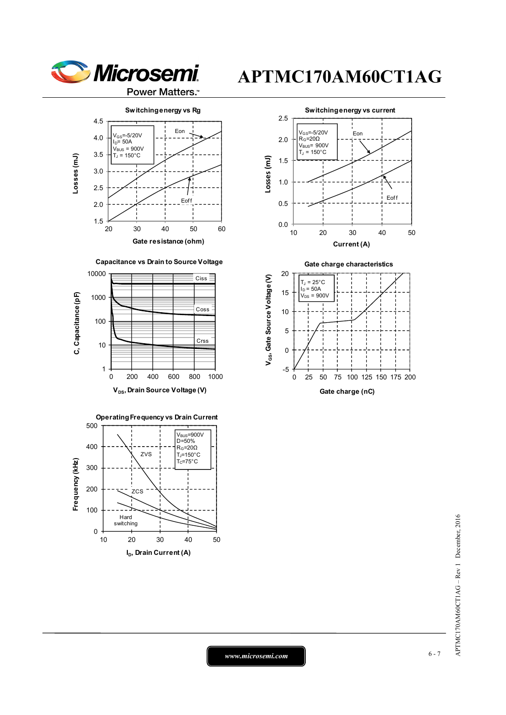











**Gate charge characteristics**





*www.microsemi.com* 6-7